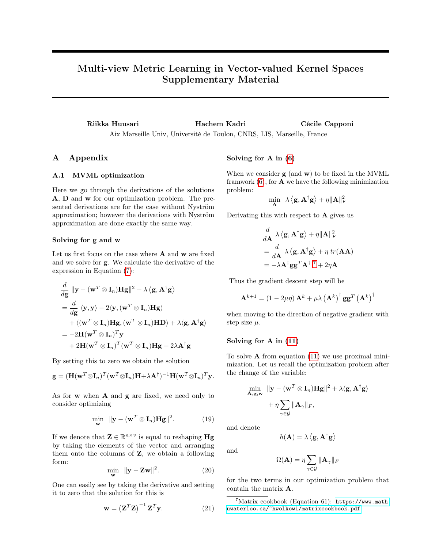# Multi-view Metric Learning in Vector-valued Kernel Spaces Supplementary Material

Riikka Huusari Hachem Kadri Cécile Capponi Aix Marseille Univ, Université de Toulon, CNRS, LIS, Marseille, France

## A Appendix

### A.1 MVML optimization

Here we go through the derivations of the solutions A, D and w for our optimization problem. The presented derivations are for the case without Nyström approximation; however the derivations with Nyström approximation are done exactly the same way.

#### Solving for g and w

Let us first focus on the case where  $A$  and  $w$  are fixed and we solve for g. We calculate the derivative of the expression in Equation (7):

$$
\frac{d}{d\mathbf{g}} \|\mathbf{y} - (\mathbf{w}^T \otimes \mathbf{I}_n)\mathbf{H}\mathbf{g}\|^2 + \lambda \langle \mathbf{g}, \mathbf{A}^\dagger \mathbf{g} \rangle
$$
\n
$$
= \frac{d}{d\mathbf{g}} \langle \mathbf{y}, \mathbf{y} \rangle - 2 \langle \mathbf{y}, (\mathbf{w}^T \otimes \mathbf{I}_n) \mathbf{H} \mathbf{g} \rangle
$$
\n
$$
+ \langle (\mathbf{w}^T \otimes \mathbf{I}_n) \mathbf{H}\mathbf{g}, (\mathbf{w}^T \otimes \mathbf{I}_n) \mathbf{H} \mathbf{D} \rangle + \lambda \langle \mathbf{g}, \mathbf{A}^\dagger \mathbf{g} \rangle
$$
\n
$$
= -2\mathbf{H} (\mathbf{w}^T \otimes \mathbf{I}_n)^T \mathbf{y}
$$
\n
$$
+ 2\mathbf{H} (\mathbf{w}^T \otimes \mathbf{I}_n)^T (\mathbf{w}^T \otimes \mathbf{I}_n) \mathbf{H}\mathbf{g} + 2\lambda \mathbf{A}^\dagger \mathbf{g}
$$

By setting this to zero we obtain the solution

$$
\mathbf{g} = (\mathbf{H}(\mathbf{w}^T \otimes \mathbf{I}_n)^T (\mathbf{w}^T \otimes \mathbf{I}_n) \mathbf{H} + \lambda \mathbf{A}^\dagger)^{-1} \mathbf{H} (\mathbf{w}^T \otimes \mathbf{I}_n)^T \mathbf{y}.
$$

As for  $w$  when  $A$  and  $g$  are fixed, we need only to consider optimizing

$$
\min_{\mathbf{w}} \ \|\mathbf{y} - (\mathbf{w}^T \otimes \mathbf{I}_n) \mathbf{Hg}\|^2. \tag{19}
$$

If we denote that  $\mathbf{Z} \in \mathbb{R}^{n \times v}$  is equal to reshaping  $\mathbf{H}\mathbf{g}$ by taking the elements of the vector and arranging them onto the columns of  $Z$ , we obtain a following form:

$$
\min_{\mathbf{w}} \ \|\mathbf{y} - \mathbf{Z}\mathbf{w}\|^2. \tag{20}
$$

One can easily see by taking the derivative and setting it to zero that the solution for this is

$$
\mathbf{w} = \left(\mathbf{Z}^T \mathbf{Z}\right)^{-1} \mathbf{Z}^T \mathbf{y}.
$$
 (21)

#### Solving for A in (6)

When we consider  $g$  (and  $w$ ) to be fixed in the MVML framwork  $(6)$ , for **A** we have the following minimization problem:

$$
\min_{\mathbf{A}} ~~\lambda \left\langle \mathbf{g}, \mathbf{A}^{\dagger} \mathbf{g} \right\rangle + \eta \|\mathbf{A}\|_F^2
$$

Derivating this with respect to  $\bf{A}$  gives us

$$
\frac{d}{d\mathbf{A}} \lambda \langle \mathbf{g}, \mathbf{A}^{\dagger} \mathbf{g} \rangle + \eta \|\mathbf{A}\|_{F}^{2}
$$
\n
$$
= \frac{d}{d\mathbf{A}} \lambda \langle \mathbf{g}, \mathbf{A}^{\dagger} \mathbf{g} \rangle + \eta \text{ tr}(\mathbf{A}\mathbf{A})
$$
\n
$$
= -\lambda \mathbf{A}^{\dagger} \mathbf{g} \mathbf{g}^{T} \mathbf{A}^{\dagger} \mathbf{A}^{T} + 2\eta \mathbf{A}
$$

Thus the gradient descent step will be

$$
\mathbf{A}^{k+1} = (1 - 2\mu\eta)\,\mathbf{A}^k + \mu\lambda\left(\mathbf{A}^k\right)^{\dagger}\mathbf{g}\mathbf{g}^T\left(\mathbf{A}^k\right)^{\dagger}
$$

when moving to the direction of negative gradient with step size  $\mu$ .

#### Solving for A in (11)

To solve  $A$  from equation  $(11)$  we use proximal minimization. Let us recall the optimization problem after the change of the variable:

$$
\min_{\mathbf{A}, \mathbf{g}, \mathbf{w}} \|\mathbf{y} - (\mathbf{w}^T \otimes \mathbf{I}_n) \mathbf{Hg} \|^2 + \lambda \langle \mathbf{g}, \mathbf{A}^\dagger \mathbf{g} \rangle + \eta \sum_{\gamma \in \mathcal{G}} \|\mathbf{A}_\gamma\|_F,
$$

and denote

$$
h(\mathbf{A}) = \lambda \left\langle \mathbf{g}, \mathbf{A}^{\dagger} \mathbf{g} \right\rangle
$$

and

$$
\Omega(\mathbf{A}) = \eta \sum_{\gamma \in \mathcal{G}} \|\mathbf{A}_{\gamma}\|_{F}
$$

for the two terms in our optimization problem that contain the matrix A.

 $7$ Matrix cookbook (Equation 61): [https://www.math.](https://www.math.uwaterloo.ca/~hwolkowi/matrixcookbook.pdf) [uwaterloo.ca/~hwolkowi/matrixcookbook.pdf](https://www.math.uwaterloo.ca/~hwolkowi/matrixcookbook.pdf).